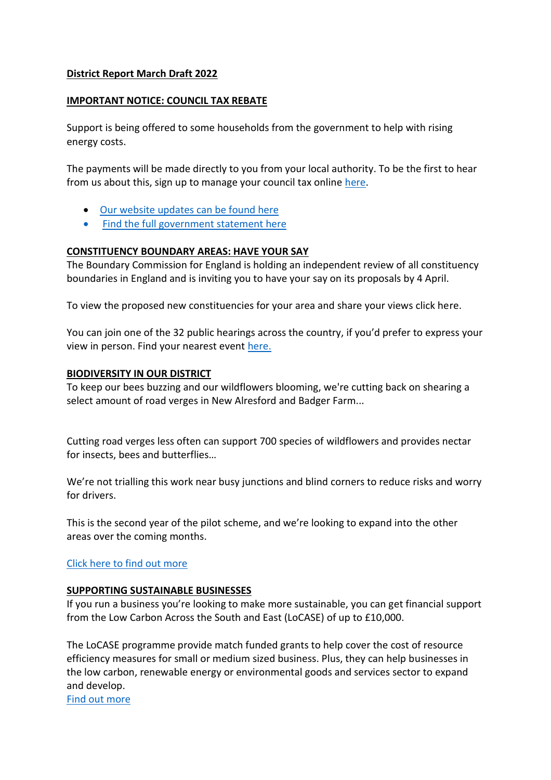## **District Report March Draft 2022**

#### **IMPORTANT NOTICE: COUNCIL TAX REBATE**

Support is being offered to some households from the government to help with rising energy costs.

The payments will be made directly to you from your local authority. To be the first to hear from us about this, sign up to manage your council tax online [here.](https://www.northgate-nes.co.uk/pls/pwslive/call_initial_apex_page.nes_selfsrv?service=CAR&la=WINC&language=ENG&options=CT)

- [Our website updates can be found here](file://///users/hannah/Desktop/IMPORTANT%20NOTICE:%20COUNCIL%20TAX%20REBATE%20%20Support%20is%20being%20offered%20to%20some%20households%20from%20the%20government%20to%20help%20with%20rising%20energy%20costs.%20Due%20to%20a%20technical%20error%20with%20the%20link%20we%20sent%20to%20you%20last%20week,%20please%20use%20the%20one%20provided%20below%20instead%20to%20manage%20your%20Council%20Tax%20online%20and%20be%20the%20first%20to%20hear%20from%20us%20about%20the%20£150%20rebate%20for%20those%20in%20Council%20Tax%20bands%20A-D.%20%20%20The%20payments%20will%20be%20made%20directly%20to%20you%20from%20your%20local%20authority.%20To%20be%20the%20first%20to%20hear%20from%20us%20about%20this,%20sign%20up%20to%20manage%20your%20council%20tax%20online%20here.%20%20Our%20website%20updates%20can%20be%20found%20here%20%20Find%20the%20full%20government%20statement%20here)
- [Find the full government statement here](file://///users/hannah/Desktop/IMPORTANT%20NOTICE:%20COUNCIL%20TAX%20REBATE%20%20Support%20is%20being%20offered%20to%20some%20households%20from%20the%20government%20to%20help%20with%20rising%20energy%20costs.%20Due%20to%20a%20technical%20error%20with%20the%20link%20we%20sent%20to%20you%20last%20week,%20please%20use%20the%20one%20provided%20below%20instead%20to%20manage%20your%20Council%20Tax%20online%20and%20be%20the%20first%20to%20hear%20from%20us%20about%20the%20£150%20rebate%20for%20those%20in%20Council%20Tax%20bands%20A-D.%20%20%20The%20payments%20will%20be%20made%20directly%20to%20you%20from%20your%20local%20authority.%20To%20be%20the%20first%20to%20hear%20from%20us%20about%20this,%20sign%20up%20to%20manage%20your%20council%20tax%20online%20here.%20%20Our%20website%20updates%20can%20be%20found%20here%20%20Find%20the%20full%20government%20statement%20here)

# **CONSTITUENCY BOUNDARY AREAS: HAVE YOUR SAY**

The Boundary Commission for England is holding an independent review of all constituency boundaries in England and is inviting you to have your say on its proposals by 4 April.

To view the proposed new constituencies for your area and share your views click here.

You can join one of the 32 public hearings across the country, if you'd prefer to express your view in person. Find your nearest event [here.](https://winchester.us12.list-manage.com/track/click?u=ff5fd525cec7b271e07954336&id=f9fbbf76ba&e=beaf091376)

## **BIODIVERSITY IN OUR DISTRICT**

To keep our bees buzzing and our wildflowers blooming, we're cutting back on shearing a select amount of road verges in New Alresford and Badger Farm...

Cutting road verges less often can support 700 species of wildflowers and provides nectar for insects, bees and butterflies…

We're not trialling this work near busy junctions and blind corners to reduce risks and worry for drivers.

This is the second year of the pilot scheme, and we're looking to expand into the other areas over the coming months.

# [Click here to find out more](https://winchester.us12.list-manage.com/track/click?u=ff5fd525cec7b271e07954336&id=55023593b3&e=beaf091376)

#### **SUPPORTING SUSTAINABLE BUSINESSES**

If you run a business you're looking to make more sustainable, you can get financial support from the Low Carbon Across the South and East (LoCASE) of up to £10,000.

The LoCASE programme provide match funded grants to help cover the cost of resource efficiency measures for small or medium sized business. Plus, they can help businesses in the low carbon, renewable energy or environmental goods and services sector to expand and develop.

[Find out more](https://winchester.us12.list-manage.com/track/click?u=ff5fd525cec7b271e07954336&id=ccfd68cc80&e=beaf091376)